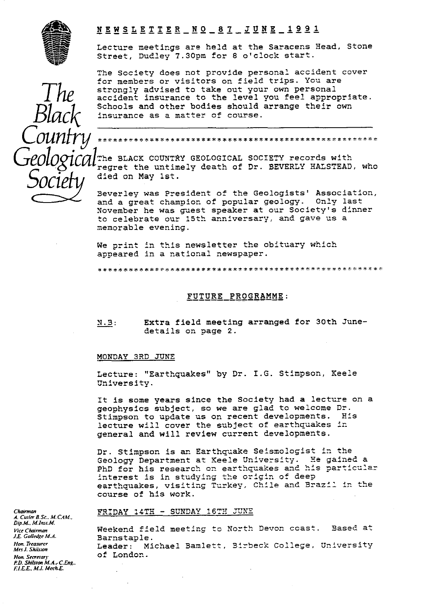

*Black*

*Countyl*

*S*

# **• NEWSLETTER—id0\_8 T\_JUNE\_1 9 9 Z**

Lecture meetings are held at the Saracens Head, Stone Street, Dudley 7.30pm for 8 o'clock start.

The Society does not provide personal accident cover for members *or visitors on field* trips. You are strongly advised to take out your own personal accident insurance to the level you feel appropriate. Schools and other bodies should arrange their own insurance as a matter of course.

\* \_ \*\*\* \* <sup>W</sup> \* \*\* \* \* w y

The BLACK COUNTRY GEOLOGICAL SOCIETY records with regret the untimely death of Dr. BEVERLY HALSTEAD, who *ocie* died on May 1st.

Beverley was President of the Geologists' Association, and a great champion of popular geology. Only last November he was guest speaker at our Society's dinner to celebrate our 15th anniversary, and gave us a memorable evening.

We print in this newsletter the obituary which ap p eared in a national newspaper.

\* \* \* \* \* :k\*- **t** \*\*?'7'.-':rt :K-R\*#\*M`K\*•\* **k::**k\*\*\*\*\*\*\*\*\*\*\*.\*w::4ww\*w\*;t:.}: \_\*%f"\*

### FUTURE PROGRAMME:

N.3 : Extra field meeting arranged for 30th Junedetails on page 2.

#### MONDAY 3RD JUNE

Lecture: "Earthquakes" by Dr. I.G. Stimpson, Keele University.

It is some years since the Society had a lecture on a geophysics subject, so we are glad to welcome Dr. Stimpson to update us on recent developments. His lecture will cover the subject of earthquakes in general and will review current developments.

Dr. Stimpson is an Earthquake Seismologist in the Geology Department at Keele University. He gained a PhD for his research on earthquakes and his particular interest is in studying the origin of deep earthquakes, visiting Turkey, Chile and Brazil in the course of his work.

#### *Chairman* Chairman **FRIDAY 14TH - SUNDAY 16TH JUNE**

*Vice Chairman* **Weekend field meeting to North Devon coast.** Based at Vice Chairman<br>*J.E. Golledge M.A.* **Barnstanle** *Hon. Treasurer* Leader: Michael Bamlett, Bl beck College, University *Mrs J. Skhmn*

*A. Cwler B. Sc.. M. CAM.. Dip.M., M.Inst.M.*<br>*Vice Chairman J.E. Golledge M.A.* Barnstaple.<br>*Hon. Treasurer* Feador: Mi *Hon. Secwary* of London. *P.D. Shilsion ALA., C.Eng.. RILE., M.1. Uer&F*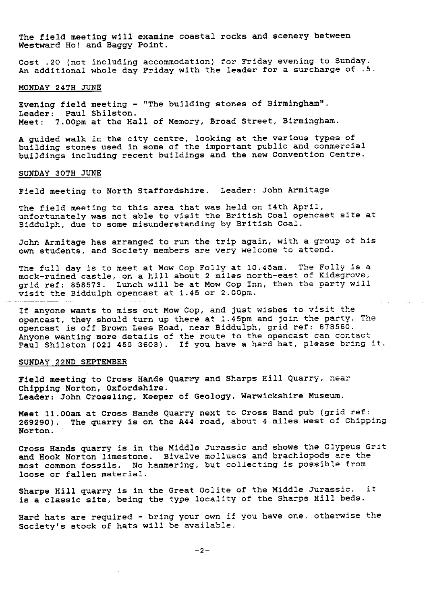The field meeting will examine coastal rocks and scenery between Westward Ho! and Baggy Point.

Cost .20 (not including accommodation) for Friday evening to Sunday. An additional whole day Friday with the leader for a surcharge of .5.

#### MONDAY 24TH JUNE

Evening field meeting - "The building stones of Birmingham". Leader: Paul Shilston. Meet: 7.00pm at the Hall of Memory, Broad Street, Birmingham.

A guided walk in the city centre, looking at the various types of building stones used in some of the important public and commercial buildings including recent buildings and the new Convention Centre.

#### SUNDAY 30TH JUNE

Field meeting to North Staffordshire. Leader: John Armitage

The field meeting to this area that was held on 14th April, unfortunately was not able to visit the British Coal opencast site at Siddulph, due to some misunderstanding by British Coal.

John Armitage has arranged to run the trip again, with a group of his own students, and Society members are very welcome to attend.

The full day is to meet at Mow Cop Folly at 10.45am. The Folly is a mock-ruined castle, on a hill about 2 miles north-east of Kidsgrove, grid ref: 858573. Lunch will be at Mow Cop Inn, then the party will visit the Biddulph opencast at  $1.45$  or  $2.00$ pm.

If anyone wants to miss out Mow Cop, and just wishes to visit the opencast, they should turn up there at 1.45pm and join the party. The opencast is off Brown Lees Road, near Biddulph, grid ref: 878560. Anyone wanting more details of the route to the opencast can contact Paul Shilston (021 459 3603). If you have a hard hat, please bring it.

### SUNDAY 22ND SEPTEMBER

Field meeting to Cross Hands Quarry and Sharps Hill Quarry, near Chipping Norton, Oxfordshire. Leader: John Crossling, Keeper of Geology, Warwickshire Museum.

Meet 11.00am at Cross Hands Quarry next to Cross Hand pub (grid ref: 269290). The quarry is on the A44 road, about 4 miles west of Chipping Norton.

Cross Hands quarry is in the Middle Jurassic and shows the Clypeus Grit and Hook Norton limestone. Bivalve molluscs and brachiopods are the most common fossils. No hammering, but collecting is possible from loose or fallen material.

Sharps Hill quarry is in the Great Oolite of the Middle Jurassic. it is **a** classic site, being the type locality of the Sharps Hill beds.

Hard hats are required - bring your own if you have one, otherwise the Society's stock of hats will be available.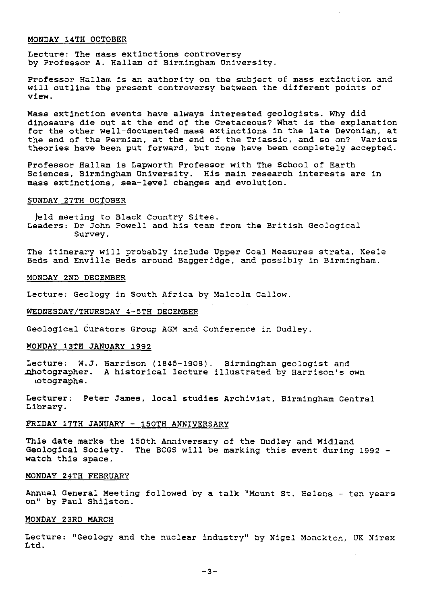#### MONDAY 14TH OCTOBER

Lecture: The mass extinctions controversy by Professor A. Hallam of Birmingham University.

Professor Hallam is an authority on the subject of mass extinction and will outline the present controversy between the different points of **view.**

Mass extinction events have always interested geologists. Why did dinosaurs die out at the end of the Cretaceous? What is the explanation for the other well-documented mass extinctions in the late Devonian, at the end of the Permian, at the end of the Triassic, and so on? Various theories have been put forward, but none have been completely accepted.

Professor Hallam is Lapworth Professor with The School of Earth Sciences, Birmingham University. His main research interests are in mass extinctions, sea-level changes and evolution.

### SUNDAY 27TH OCTOBER

leld meeting to Black Country Sites. Leaders: Dr John Powell and his team from the British Geological Survey.

The itinerary will probably include Upper Coal Measures strata, Keele Beds and Envi]le Beds around Baggeridge, and possibly in Birmingham.

#### MONDAY 2ND DECEMBER

Lecture: Geology in South Africa by Malcolm Callow.

# WEDNESDAY/THURSDAY 4-5TH DECEMBER

Geological Curators Group AGM and Conference in Dudley.

### MONDAY 13TH JANUARY 1992

Lecture: W.J. Harrison (1845-1908). Birmingham geologist and otographer. A historical lecture illustrated by Harrison's own iotographs.

Lecturer: Peter James, local studies Archivist, Birmingham Central Library.

#### FRIDAY 17TH JANUARY - 150TH ANNIVERSARY

This date marks the 150th Anniversary of the Dudley and Midland Geological Society. The BCGS will be marking this event during 1992 watch this space.

### MONDAY 24TH FEBRUARY

Annual General Meeting followed by a talk "Mount St. Helens - ten years on" by Paul Shilston.

# MONDAY 23RD MARCH

Lecture: "Geology and the nuclear industry" by Nigel Monckton, UK Nirex Ltd.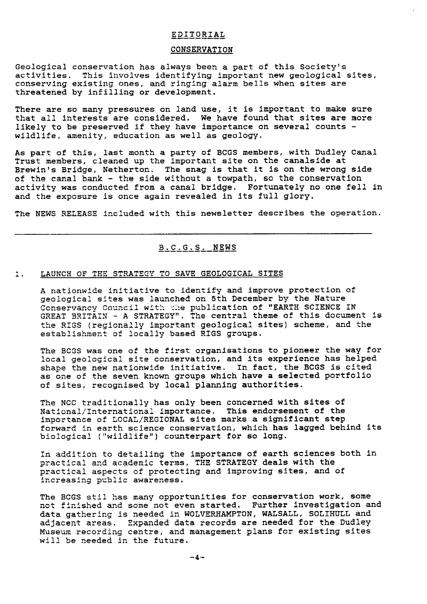#### EDITORIAL

### CONSERVATION

Geological conservation has always been a part of this Society's activities. This involves identifying important new geological sites, conserving existing ones, and ringing alarm bells when sites are threatened by infilling or development.

There are so many pressures on land use, it is important to make sure that all interests are considered. We have found that sites are more likely to be preserved if they have importance on several counts wildlife, amenity, education as well as geology.

As part of this, last month a party of BCGS members, with Dudley Canal Trust members, cleaned up the important site on the canalside at Brewin's Bridge, Netherton. The snag is that it is on the wrong side of the canal bank - the side without a towpath, so the conservation activity was conducted from a canal bridge. Fortunately no one fell in and the exposure is once again revealed in its full glory.

The NEWS RELEASE included with this newsletter describes the operation.

# B\_C\_G\_S NEWS

### I. LAUNCH OF THE STRATEGY TO SAVE GEOLOGICAL SITES

A nationwide initiative to identify and improve protection of geological sites was launched on 5th December by the Nature Conservancy Council with the publication of "EARTH SCIENCE IN GREAT BRITAIN - A STRATEGY". The central theme of this document is the RIGS (regionally important geological sites) scheme, and the establishment of locally based RIGS groups.

The BCGS was one of the first organisations to pioneer the way for local geological site conservation, and its experience has helped shape *the* new nationwide initiative. In fact, the BCGS is cited as one of the seven known groups *which have a* selected portfolio of sites, recognised by local planning authorities.

The NCC traditionally has only been concerned with sites of National/International importance. This endorsement of the importance of LOCAL/REGIONAL sites marks a significant step forward in earth science conservation, which has lagged behind its biological ("wildlife") counterpart for so long.

In addition to detailing the importance of earth sciences both in practical and academic terms, THE STRATEGY deals with the practical aspects of protecting and improving sites, and of increasing public awareness.

The BCGS stil has many opportunities for conservation work, some not finished and some not even started. Further investigation and data *gathering* is needed in WOLVERHAMPTON, WALSALL, SOLIHULL and adjacent areas. Expanded data records are needed for the Dudley Museum, recording centre, and management plans for existing sites will be needed in the future.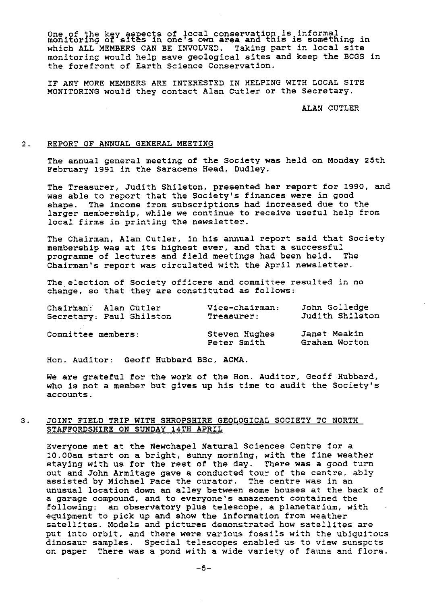One of the key aspects of local conservation is informal<br>monitoring of sites in one's own area and this is something ir which ALL MEMBERS CAN BE INVOLVED. Taking part in local site monitoring would help save geological sites and keep the BCGS in the forefront of Earth Science Conservation.

IF ANY MORE MEMBERS ARE INTERESTED IN HELPING WITH LOCAL SITE MONITORING would they contact Alan Cutler or the Secretary.

ALAN CUTLER

# 2. REPORT OF ANNUAL GENERAL MEETING

The annual general meeting of the Society was held on Monday 25th February 1991 in the Saracens Head, Dudley.

The Treasurer, Judith Shilston, presented her report for 1990, and was able to report that the Society's finances were in good shape. The income from subscriptions had increased due to the larger membership, while we continue to receive useful help from local firms in printing the newsletter.

The Chairman, Alan Cutler, in his annual report said that Society membership was at its highest ever, and that a successful programme of lectures and field meetings had been held. The Chairman's report was circulated with the April newsletter.

The election of Society officers and committee resulted in no change, so that they are constituted as follows:

|                    | Chairman: Alan Cutler    | Vice-chairman:               | John Golledge                 |
|--------------------|--------------------------|------------------------------|-------------------------------|
|                    | Secretary: Paul Shilston | Treasurer:                   | Judith Shilston               |
| Committee members: |                          | Steven Hughes<br>Peter Smith | Janet Meakin<br>Graham Worton |

Hon. Auditor: Geoff Hubbard BSc, ACMA.

We are grateful for the work of the Hon. Auditor, Geoff Hubbard, who is not a member but gives up his time to audit the Society's accounts.

### 3. JOINT FIELD TRIP WITH SHROPSHIRE GEOLOGICAL SOCIETY TO NORTH STAFFORDSHIRE ON SUNDAY 14TH APRIL

Everyone met at the Newchapel Natural Sciences Centre for a 10.00am start on a bright, sunny morning, with the fine weather staying with us for the rest of the day. There was a good turn out and John Armitage gave a conducted tour of the centre, ably assisted by Michael Pace the curator. The centre was in an unusual location down an alley between some houses at the back of a garage compound, and to everyone's amazement contained the following: an observatory plus telescope, a planetarium, with equipment to pick up and show the information from weather satellites. Models and pictures demonstrated how satellites are put into orbit, and there were various fossils with the ubiquitous dinosaur samples. Special telescopes enabled us to view sunspots on paper There was a pond with a wide variety of fauna and flora.

-5-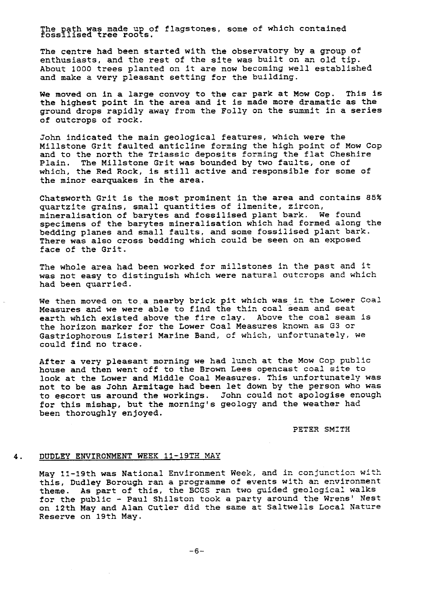The path was made up of flagstones, some of which contained fossilised tree roots.

The centre had been started with the observatory by a group of enthusiasts, and the rest of the site was built on an old tip. About 1000 trees planted on it are now becoming well established and make a very pleasant setting for the building.

We moved on in a large convoy to the car park at Mow Cop. This is the highest point in the area and it is made more dramatic as the ground drops rapidly away from the Folly on the summit in a series of outcrops of rock.

John indicated the main geological features, which were the Millstone Grit faulted anticline forming the high point of Mow Cop and to the north the Triassic deposits forming the flat Cheshire Plain. The Millstone Grit was bounded by two faults, one of which, the Red Rock, is still active and responsible for some of the minor earquakes in the area.

Chatsworth Grit is the most prominent in the area and contains 85% quartzite grains, small quantities of ilmenite, zircon, mineralisation of barytes and fossilised plant bark. We found specimens of the barytes mineralisation which had formed along the bedding planes and small faults, and some fossilised plant bark. There was also cross bedding which could be seen on an exposed *face of* the Grit.

The whole area had been worked for millstones in the past and it was not easy to distinguish which were natural outcrops and which had been quarried.

We then moved on to a nearby brick pit which was in the Lower Coal Measures and we were able to find the thin coal seam and seat earth which existed above the fire clay. Above the coal seam is the horizon marker for the Lower Coal *Measures* known as 03 or Gastriophorous Listeri Marine Band, of which, unfortunately, we could find no trace.

After a very pleasant morning we had lunch at the Mow Cop public house and then went off to the Brown Lees opencast coal site to look at the Lower and Middle Coal Measures. This unfortunately was not to be as John Armitage had been let down by the person who was to escort us around the workings. John could not apologise enough for this mishap, but the morning's geology and the weather had been thoroughly enjoyed.

PETER SMITH

### 4. DUDLEY ENVIRONMENT WEEK 11 *-19TH MAY*

May 11-19th was National Environment Week, and in conjunction with this, Dudley Borough ran a programme of events with an environment theme. As part of this, the BCGS ran two guided geological walks for the public - Paul *Shilston took* a party around the Wrens' Nest on 12th May and Alan Cutler did the same at Saltwells Local Nature Reserve on 19th May.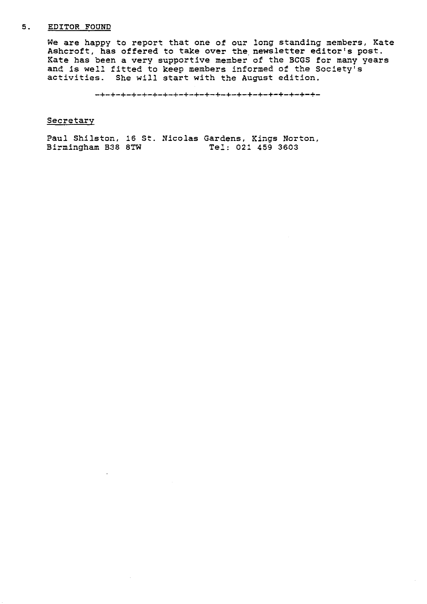### 5. EDITOR FOUND

We are happy to report that one of our long standing members, Kate Ashcroft, has offered to take over the newsletter editor's post. Kate has been a very supportive member of the BCGS for many years and is well fitted to keep members informed of the Society's activities. She will start with the August edition.

-+-+-+-+-+-+-+-+-+-+-+-+-+-+-+-+-+-+-+-+-+-

#### **Secretary**

Paul Shilston, 16 St. Nicolas Gardens, Kings Norton,<br>Birmingham B38 8TW Tel: 021 459 3603 Birmingham B38 8TW